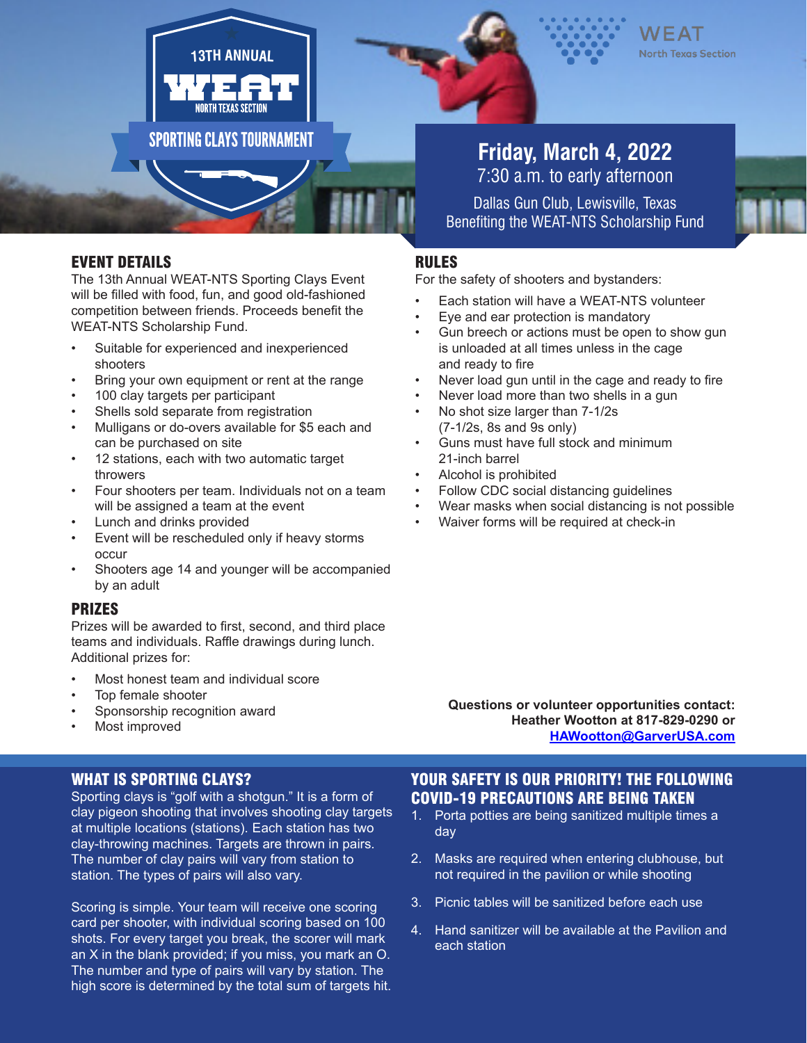



# **Friday, March 4, 2022** 7:30 a.m. to early afternoon

Dallas Gun Club, Lewisville, Texas Benefiting the WEAT-NTS Scholarship Fund

### RULES

For the safety of shooters and bystanders:

- Each station will have a WEAT-NTS volunteer
- Eye and ear protection is mandatory
- Gun breech or actions must be open to show gun is unloaded at all times unless in the cage and ready to fire
- Never load gun until in the cage and ready to fire
- Never load more than two shells in a gun
- No shot size larger than 7-1/2s (7-1/2s, 8s and 9s only)
- Guns must have full stock and minimum 21-inch barrel
- Alcohol is prohibited
- Follow CDC social distancing guidelines
- Wear masks when social distancing is not possible
- Waiver forms will be required at check-in

EVENT DETAILS

The 13th Annual WEAT-NTS Sporting Clays Event will be filled with food, fun, and good old-fashioned competition between friends. Proceeds benefit the WEAT-NTS Scholarship Fund.

**13TH ANNUAL**

**SPORTING CLAYS TOURNAMENT** 

- Suitable for experienced and inexperienced shooters
- Bring your own equipment or rent at the range
- 100 clay targets per participant
- Shells sold separate from registration
- Mulligans or do-overs available for \$5 each and can be purchased on site
- 12 stations, each with two automatic target throwers
- Four shooters per team. Individuals not on a team will be assigned a team at the event
- Lunch and drinks provided
- Event will be rescheduled only if heavy storms occur
- Shooters age 14 and younger will be accompanied by an adult

### PRIZES

Prizes will be awarded to first, second, and third place teams and individuals. Raffle drawings during lunch. Additional prizes for:

- Most honest team and individual score
- Top female shooter
- Sponsorship recognition award
- Most improved

**Questions or volunteer opportunities contact: Heather Wootton at 817-829-0290 or HAWootton@GarverUSA.com** 

### WHAT IS SPORTING CLAYS?

Sporting clays is "golf with a shotgun." It is a form of clay pigeon shooting that involves shooting clay targets at multiple locations (stations). Each station has two clay-throwing machines. Targets are thrown in pairs. The number of clay pairs will vary from station to station. The types of pairs will also vary.

Scoring is simple. Your team will receive one scoring card per shooter, with individual scoring based on 100 shots. For every target you break, the scorer will mark an X in the blank provided; if you miss, you mark an O. The number and type of pairs will vary by station. The high score is determined by the total sum of targets hit. YOUR SAFETY IS OUR PRIORITY! THE FOLLOWING COVID-19 PRECAUTIONS ARE BEING TAKEN

- 1. Porta potties are being sanitized multiple times a day
- 2. Masks are required when entering clubhouse, but not required in the pavilion or while shooting
- 3. Picnic tables will be sanitized before each use
- 4. Hand sanitizer will be available at the Pavilion and each station